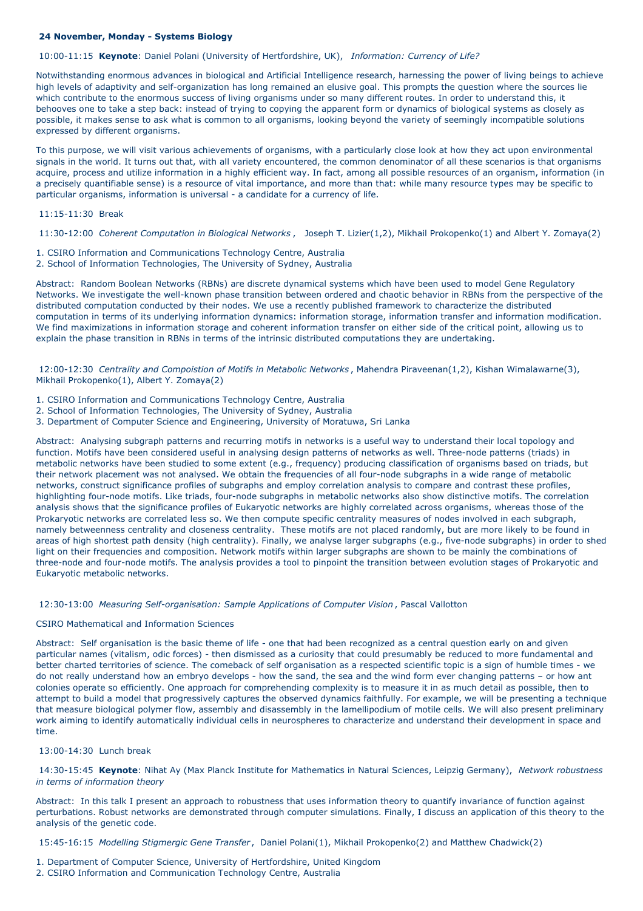# **24 November, Monday - Systems Biology**

10:00-11:15 **Keynote**: Daniel Polani (University of Hertfordshire, UK), *Information: Currency of Life?*

Notwithstanding enormous advances in biological and Artificial Intelligence research, harnessing the power of living beings to achieve high levels of adaptivity and self-organization has long remained an elusive goal. This prompts the question where the sources lie which contribute to the enormous success of living organisms under so many different routes. In order to understand this, it behooves one to take a step back: instead of trying to copying the apparent form or dynamics of biological systems as closely as possible, it makes sense to ask what is common to all organisms, looking beyond the variety of seemingly incompatible solutions expressed by different organisms.

To this purpose, we will visit various achievements of organisms, with a particularly close look at how they act upon environmental signals in the world. It turns out that, with all variety encountered, the common denominator of all these scenarios is that organisms acquire, process and utilize information in a highly efficient way. In fact, among all possible resources of an organism, information (in a precisely quantifiable sense) is a resource of vital importance, and more than that: while many resource types may be specific to particular organisms, information is universal - a candidate for a currency of life.

#### 11:15-11:30 Break

11:30-12:00 *Coherent Computation in Biological Networks* , Joseph T. Lizier(1,2), Mikhail Prokopenko(1) and Albert Y. Zomaya(2)

1. CSIRO Information and Communications Technology Centre, Australia

2. School of Information Technologies, The University of Sydney, Australia

Abstract: Random Boolean Networks (RBNs) are discrete dynamical systems which have been used to model Gene Regulatory Networks. We investigate the well-known phase transition between ordered and chaotic behavior in RBNs from the perspective of the distributed computation conducted by their nodes. We use a recently published framework to characterize the distributed computation in terms of its underlying information dynamics: information storage, information transfer and information modification. We find maximizations in information storage and coherent information transfer on either side of the critical point, allowing us to explain the phase transition in RBNs in terms of the intrinsic distributed computations they are undertaking.

12:00-12:30 *Centrality and Compoistion of Motifs in Metabolic Networks* , Mahendra Piraveenan(1,2), Kishan Wimalawarne(3), Mikhail Prokopenko(1), Albert Y. Zomaya(2)

- 1. CSIRO Information and Communications Technology Centre, Australia
- 2. School of Information Technologies, The University of Sydney, Australia
- 3. Department of Computer Science and Engineering, University of Moratuwa, Sri Lanka

Abstract: Analysing subgraph patterns and recurring motifs in networks is a useful way to understand their local topology and function. Motifs have been considered useful in analysing design patterns of networks as well. Three-node patterns (triads) in metabolic networks have been studied to some extent (e.g., frequency) producing classification of organisms based on triads, but their network placement was not analysed. We obtain the frequencies of all four-node subgraphs in a wide range of metabolic networks, construct significance profiles of subgraphs and employ correlation analysis to compare and contrast these profiles, highlighting four-node motifs. Like triads, four-node subgraphs in metabolic networks also show distinctive motifs. The correlation analysis shows that the significance profiles of Eukaryotic networks are highly correlated across organisms, whereas those of the Prokaryotic networks are correlated less so. We then compute specific centrality measures of nodes involved in each subgraph, namely betweenness centrality and closeness centrality. These motifs are not placed randomly, but are more likely to be found in areas of high shortest path density (high centrality). Finally, we analyse larger subgraphs (e.g., five-node subgraphs) in order to shed light on their frequencies and composition. Network motifs within larger subgraphs are shown to be mainly the combinations of three-node and four-node motifs. The analysis provides a tool to pinpoint the transition between evolution stages of Prokaryotic and Eukaryotic metabolic networks.

## 12:30-13:00 *Measuring Self-organisation: Sample Applications of Computer Vision* , Pascal Vallotton

## CSIRO Mathematical and Information Sciences

Abstract: Self organisation is the basic theme of life - one that had been recognized as a central question early on and given particular names (vitalism, odic forces) - then dismissed as a curiosity that could presumably be reduced to more fundamental and better charted territories of science. The comeback of self organisation as a respected scientific topic is a sign of humble times - we do not really understand how an embryo develops - how the sand, the sea and the wind form ever changing patterns – or how ant colonies operate so efficiently. One approach for comprehending complexity is to measure it in as much detail as possible, then to attempt to build a model that progressively captures the observed dynamics faithfully. For example, we will be presenting a technique that measure biological polymer flow, assembly and disassembly in the lamellipodium of motile cells. We will also present preliminary work aiming to identify automatically individual cells in neurospheres to characterize and understand their development in space and time.

13:00-14:30 Lunch break

14:30-15:45 **Keynote**: Nihat Ay (Max Planck Institute for Mathematics in Natural Sciences, Leipzig Germany), *Network robustness in terms of information theory*

Abstract: In this talk I present an approach to robustness that uses information theory to quantify invariance of function against perturbations. Robust networks are demonstrated through computer simulations. Finally, I discuss an application of this theory to the analysis of the genetic code.

15:45-16:15 *Modelling Stigmergic Gene Transfer* , Daniel Polani(1), Mikhail Prokopenko(2) and Matthew Chadwick(2)

1. Department of Computer Science, University of Hertfordshire, United Kingdom 2. CSIRO Information and Communication Technology Centre, Australia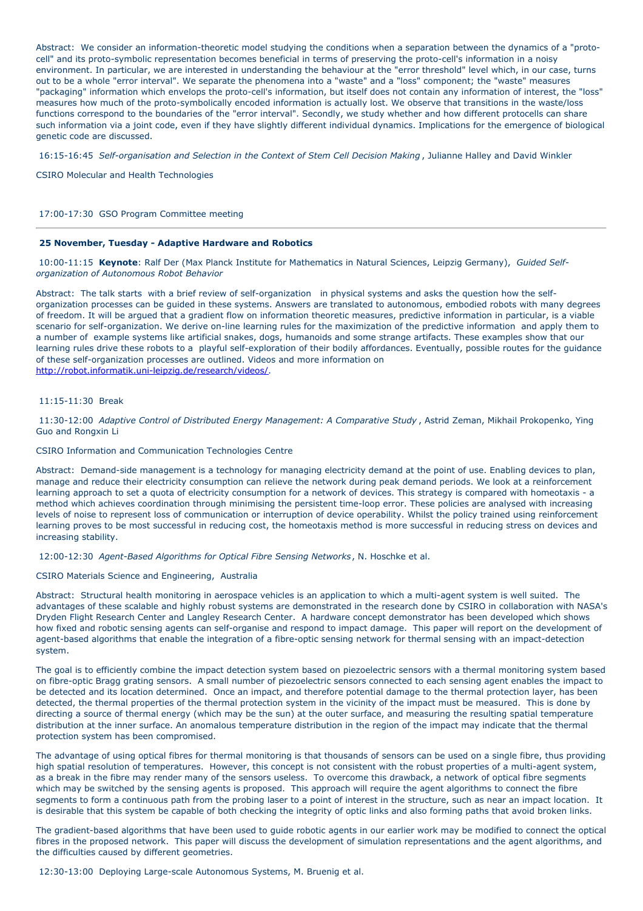Abstract: We consider an information-theoretic model studying the conditions when a separation between the dynamics of a "protocell" and its proto-symbolic representation becomes beneficial in terms of preserving the proto-cell's information in a noisy environment. In particular, we are interested in understanding the behaviour at the "error threshold" level which, in our case, turns out to be a whole "error interval". We separate the phenomena into a "waste" and a "loss" component; the "waste" measures "packaging" information which envelops the proto-cell's information, but itself does not contain any information of interest, the "loss" measures how much of the proto-symbolically encoded information is actually lost. We observe that transitions in the waste/loss functions correspond to the boundaries of the "error interval". Secondly, we study whether and how different protocells can share such information via a joint code, even if they have slightly different individual dynamics. Implications for the emergence of biological genetic code are discussed.

16:15-16:45 *Self-organisation and Selection in the Context of Stem Cell Decision Making* , Julianne Halley and David Winkler

CSIRO Molecular and Health Technologies

### 17:00-17:30 GSO Program Committee meeting

## **25 November, Tuesday - Adaptive Hardware and Robotics**

10:00-11:15 **Keynote**: Ralf Der (Max Planck Institute for Mathematics in Natural Sciences, Leipzig Germany), *Guided Selforganization of Autonomous Robot Behavior*

Abstract: The talk starts with a brief review of self-organization in physical systems and asks the question how the selforganization processes can be guided in these systems. Answers are translated to autonomous, embodied robots with many degrees of freedom. It will be argued that a gradient flow on information theoretic measures, predictive information in particular, is a viable scenario for self-organization. We derive on-line learning rules for the maximization of the predictive information and apply them to a number of example systems like artificial snakes, dogs, humanoids and some strange artifacts. These examples show that our learning rules drive these robots to a playful self-exploration of their bodily affordances. Eventually, possible routes for the guidance of these self-organization processes are outlined. Videos and more information on <http://robot.informatik.uni-leipzig.de/research/videos/>.

# 11:15-11:30 Break

11:30-12:00 *Adaptive Control of Distributed Energy Management: A Comparative Study* , Astrid Zeman, Mikhail Prokopenko, Ying Guo and Rongxin Li

### CSIRO Information and Communication Technologies Centre

Abstract: Demand-side management is a technology for managing electricity demand at the point of use. Enabling devices to plan, manage and reduce their electricity consumption can relieve the network during peak demand periods. We look at a reinforcement learning approach to set a quota of electricity consumption for a network of devices. This strategy is compared with homeotaxis - a method which achieves coordination through minimising the persistent time-loop error. These policies are analysed with increasing levels of noise to represent loss of communication or interruption of device operability. Whilst the policy trained using reinforcement learning proves to be most successful in reducing cost, the homeotaxis method is more successful in reducing stress on devices and increasing stability.

12:00-12:30 *Agent-Based Algorithms for Optical Fibre Sensing Networks*, N. Hoschke et al.

### CSIRO Materials Science and Engineering, Australia

Abstract: Structural health monitoring in aerospace vehicles is an application to which a multi-agent system is well suited. The advantages of these scalable and highly robust systems are demonstrated in the research done by CSIRO in collaboration with NASA's Dryden Flight Research Center and Langley Research Center. A hardware concept demonstrator has been developed which shows how fixed and robotic sensing agents can self-organise and respond to impact damage. This paper will report on the development of agent-based algorithms that enable the integration of a fibre-optic sensing network for thermal sensing with an impact-detection system.

The goal is to efficiently combine the impact detection system based on piezoelectric sensors with a thermal monitoring system based on fibre-optic Bragg grating sensors. A small number of piezoelectric sensors connected to each sensing agent enables the impact to be detected and its location determined. Once an impact, and therefore potential damage to the thermal protection layer, has been detected, the thermal properties of the thermal protection system in the vicinity of the impact must be measured. This is done by directing a source of thermal energy (which may be the sun) at the outer surface, and measuring the resulting spatial temperature distribution at the inner surface. An anomalous temperature distribution in the region of the impact may indicate that the thermal protection system has been compromised.

The advantage of using optical fibres for thermal monitoring is that thousands of sensors can be used on a single fibre, thus providing high spatial resolution of temperatures. However, this concept is not consistent with the robust properties of a multi-agent system, as a break in the fibre may render many of the sensors useless. To overcome this drawback, a network of optical fibre segments which may be switched by the sensing agents is proposed. This approach will require the agent algorithms to connect the fibre segments to form a continuous path from the probing laser to a point of interest in the structure, such as near an impact location. It is desirable that this system be capable of both checking the integrity of optic links and also forming paths that avoid broken links.

The gradient-based algorithms that have been used to guide robotic agents in our earlier work may be modified to connect the optical fibres in the proposed network. This paper will discuss the development of simulation representations and the agent algorithms, and the difficulties caused by different geometries.

12:30-13:00 Deploying Large-scale Autonomous Systems, M. Bruenig et al.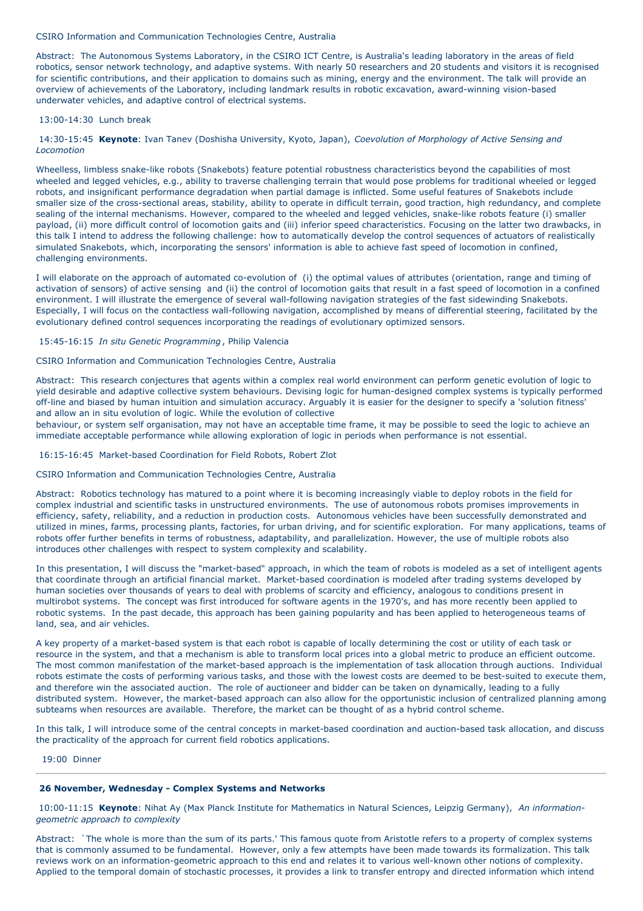CSIRO Information and Communication Technologies Centre, Australia

Abstract: The Autonomous Systems Laboratory, in the CSIRO ICT Centre, is Australia's leading laboratory in the areas of field robotics, sensor network technology, and adaptive systems. With nearly 50 researchers and 20 students and visitors it is recognised for scientific contributions, and their application to domains such as mining, energy and the environment. The talk will provide an overview of achievements of the Laboratory, including landmark results in robotic excavation, award-winning vision-based underwater vehicles, and adaptive control of electrical systems.

### 13:00-14:30 Lunch break

14:30-15:45 **Keynote**: Ivan Tanev (Doshisha University, Kyoto, Japan), *Coevolution of Morphology of Active Sensing and Locomotion*

Wheelless, limbless snake-like robots (Snakebots) feature potential robustness characteristics beyond the capabilities of most wheeled and legged vehicles, e.g., ability to traverse challenging terrain that would pose problems for traditional wheeled or legged robots, and insignificant performance degradation when partial damage is inflicted. Some useful features of Snakebots include smaller size of the cross-sectional areas, stability, ability to operate in difficult terrain, good traction, high redundancy, and complete sealing of the internal mechanisms. However, compared to the wheeled and legged vehicles, snake-like robots feature (i) smaller payload, (ii) more difficult control of locomotion gaits and (iii) inferior speed characteristics. Focusing on the latter two drawbacks, in this talk I intend to address the following challenge: how to automatically develop the control sequences of actuators of realistically simulated Snakebots, which, incorporating the sensors' information is able to achieve fast speed of locomotion in confined, challenging environments.

I will elaborate on the approach of automated co-evolution of (i) the optimal values of attributes (orientation, range and timing of activation of sensors) of active sensing and (ii) the control of locomotion gaits that result in a fast speed of locomotion in a confined environment. I will illustrate the emergence of several wall-following navigation strategies of the fast sidewinding Snakebots. Especially, I will focus on the contactless wall-following navigation, accomplished by means of differential steering, facilitated by the evolutionary defined control sequences incorporating the readings of evolutionary optimized sensors.

15:45-16:15 *In situ Genetic Programming* , Philip Valencia

CSIRO Information and Communication Technologies Centre, Australia

Abstract: This research conjectures that agents within a complex real world environment can perform genetic evolution of logic to yield desirable and adaptive collective system behaviours. Devising logic for human-designed complex systems is typically performed off-line and biased by human intuition and simulation accuracy. Arguably it is easier for the designer to specify a 'solution fitness' and allow an in situ evolution of logic. While the evolution of collective

behaviour, or system self organisation, may not have an acceptable time frame, it may be possible to seed the logic to achieve an immediate acceptable performance while allowing exploration of logic in periods when performance is not essential.

16:15-16:45 Market-based Coordination for Field Robots, Robert Zlot

CSIRO Information and Communication Technologies Centre, Australia

Abstract: Robotics technology has matured to a point where it is becoming increasingly viable to deploy robots in the field for complex industrial and scientific tasks in unstructured environments. The use of autonomous robots promises improvements in efficiency, safety, reliability, and a reduction in production costs. Autonomous vehicles have been successfully demonstrated and utilized in mines, farms, processing plants, factories, for urban driving, and for scientific exploration. For many applications, teams of robots offer further benefits in terms of robustness, adaptability, and parallelization. However, the use of multiple robots also introduces other challenges with respect to system complexity and scalability.

In this presentation, I will discuss the "market-based" approach, in which the team of robots is modeled as a set of intelligent agents that coordinate through an artificial financial market. Market-based coordination is modeled after trading systems developed by human societies over thousands of years to deal with problems of scarcity and efficiency, analogous to conditions present in multirobot systems. The concept was first introduced for software agents in the 1970's, and has more recently been applied to robotic systems. In the past decade, this approach has been gaining popularity and has been applied to heterogeneous teams of land, sea, and air vehicles.

A key property of a market-based system is that each robot is capable of locally determining the cost or utility of each task or resource in the system, and that a mechanism is able to transform local prices into a global metric to produce an efficient outcome. The most common manifestation of the market-based approach is the implementation of task allocation through auctions. Individual robots estimate the costs of performing various tasks, and those with the lowest costs are deemed to be best-suited to execute them, and therefore win the associated auction. The role of auctioneer and bidder can be taken on dynamically, leading to a fully distributed system. However, the market-based approach can also allow for the opportunistic inclusion of centralized planning among subteams when resources are available. Therefore, the market can be thought of as a hybrid control scheme.

In this talk, I will introduce some of the central concepts in market-based coordination and auction-based task allocation, and discuss the practicality of the approach for current field robotics applications.

19:00 Dinner

## **26 November, Wednesday - Complex Systems and Networks**

10:00-11:15 **Keynote**: Nihat Ay (Max Planck Institute for Mathematics in Natural Sciences, Leipzig Germany), *An informationgeometric approach to complexity*

Abstract: `The whole is more than the sum of its parts.' This famous quote from Aristotle refers to a property of complex systems that is commonly assumed to be fundamental. However, only a few attempts have been made towards its formalization. This talk reviews work on an information-geometric approach to this end and relates it to various well-known other notions of complexity. Applied to the temporal domain of stochastic processes, it provides a link to transfer entropy and directed information which intend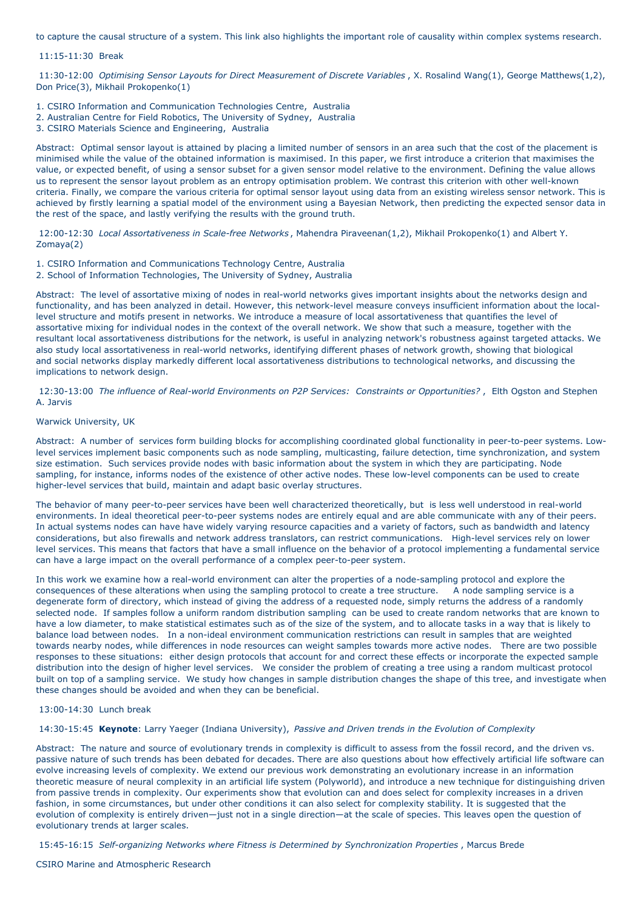to capture the causal structure of a system. This link also highlights the important role of causality within complex systems research.

#### 11:15-11:30 Break

11:30-12:00 *Optimising Sensor Layouts for Direct Measurement of Discrete Variables* , X. Rosalind Wang(1), George Matthews(1,2), Don Price(3), Mikhail Prokopenko(1)

- 1. CSIRO Information and Communication Technologies Centre, Australia
- 2. Australian Centre for Field Robotics, The University of Sydney, Australia
- 3. CSIRO Materials Science and Engineering, Australia

Abstract: Optimal sensor layout is attained by placing a limited number of sensors in an area such that the cost of the placement is minimised while the value of the obtained information is maximised. In this paper, we first introduce a criterion that maximises the value, or expected benefit, of using a sensor subset for a given sensor model relative to the environment. Defining the value allows us to represent the sensor layout problem as an entropy optimisation problem. We contrast this criterion with other well-known criteria. Finally, we compare the various criteria for optimal sensor layout using data from an existing wireless sensor network. This is achieved by firstly learning a spatial model of the environment using a Bayesian Network, then predicting the expected sensor data in the rest of the space, and lastly verifying the results with the ground truth.

12:00-12:30 *Local Assortativeness in Scale-free Networks* , Mahendra Piraveenan(1,2), Mikhail Prokopenko(1) and Albert Y. Zomaya(2)

- 1. CSIRO Information and Communications Technology Centre, Australia
- 2. School of Information Technologies, The University of Sydney, Australia

Abstract: The level of assortative mixing of nodes in real-world networks gives important insights about the networks design and functionality, and has been analyzed in detail. However, this network-level measure conveys insufficient information about the locallevel structure and motifs present in networks. We introduce a measure of local assortativeness that quantifies the level of assortative mixing for individual nodes in the context of the overall network. We show that such a measure, together with the resultant local assortativeness distributions for the network, is useful in analyzing network's robustness against targeted attacks. We also study local assortativeness in real-world networks, identifying different phases of network growth, showing that biological and social networks display markedly different local assortativeness distributions to technological networks, and discussing the implications to network design.

12:30-13:00 *The influence of Real-world Environments on P2P Services: Constraints or Opportunities?* , Elth Ogston and Stephen A. Jarvis

# Warwick University, UK

Abstract: A number of services form building blocks for accomplishing coordinated global functionality in peer-to-peer systems. Lowlevel services implement basic components such as node sampling, multicasting, failure detection, time synchronization, and system size estimation. Such services provide nodes with basic information about the system in which they are participating. Node sampling, for instance, informs nodes of the existence of other active nodes. These low-level components can be used to create higher-level services that build, maintain and adapt basic overlay structures.

The behavior of many peer-to-peer services have been well characterized theoretically, but is less well understood in real-world environments. In ideal theoretical peer-to-peer systems nodes are entirely equal and are able communicate with any of their peers. In actual systems nodes can have have widely varying resource capacities and a variety of factors, such as bandwidth and latency considerations, but also firewalls and network address translators, can restrict communications. High-level services rely on lower level services. This means that factors that have a small influence on the behavior of a protocol implementing a fundamental service can have a large impact on the overall performance of a complex peer-to-peer system.

In this work we examine how a real-world environment can alter the properties of a node-sampling protocol and explore the consequences of these alterations when using the sampling protocol to create a tree structure. A node sampling service is a degenerate form of directory, which instead of giving the address of a requested node, simply returns the address of a randomly selected node. If samples follow a uniform random distribution sampling can be used to create random networks that are known to have a low diameter, to make statistical estimates such as of the size of the system, and to allocate tasks in a way that is likely to balance load between nodes. In a non-ideal environment communication restrictions can result in samples that are weighted towards nearby nodes, while differences in node resources can weight samples towards more active nodes. There are two possible responses to these situations: either design protocols that account for and correct these effects or incorporate the expected sample distribution into the design of higher level services. We consider the problem of creating a tree using a random multicast protocol built on top of a sampling service. We study how changes in sample distribution changes the shape of this tree, and investigate when these changes should be avoided and when they can be beneficial.

# 13:00-14:30 Lunch break

14:30-15:45 **Keynote**: Larry Yaeger (Indiana University), *Passive and Driven trends in the Evolution of Complexity*

Abstract: The nature and source of evolutionary trends in complexity is difficult to assess from the fossil record, and the driven vs. passive nature of such trends has been debated for decades. There are also questions about how effectively artificial life software can evolve increasing levels of complexity. We extend our previous work demonstrating an evolutionary increase in an information theoretic measure of neural complexity in an artificial life system (Polyworld), and introduce a new technique for distinguishing driven from passive trends in complexity. Our experiments show that evolution can and does select for complexity increases in a driven fashion, in some circumstances, but under other conditions it can also select for complexity stability. It is suggested that the evolution of complexity is entirely driven—just not in a single direction—at the scale of species. This leaves open the question of evolutionary trends at larger scales.

15:45-16:15 *Self-organizing Networks where Fitness is Determined by Synchronization Properties* , Marcus Brede

CSIRO Marine and Atmospheric Research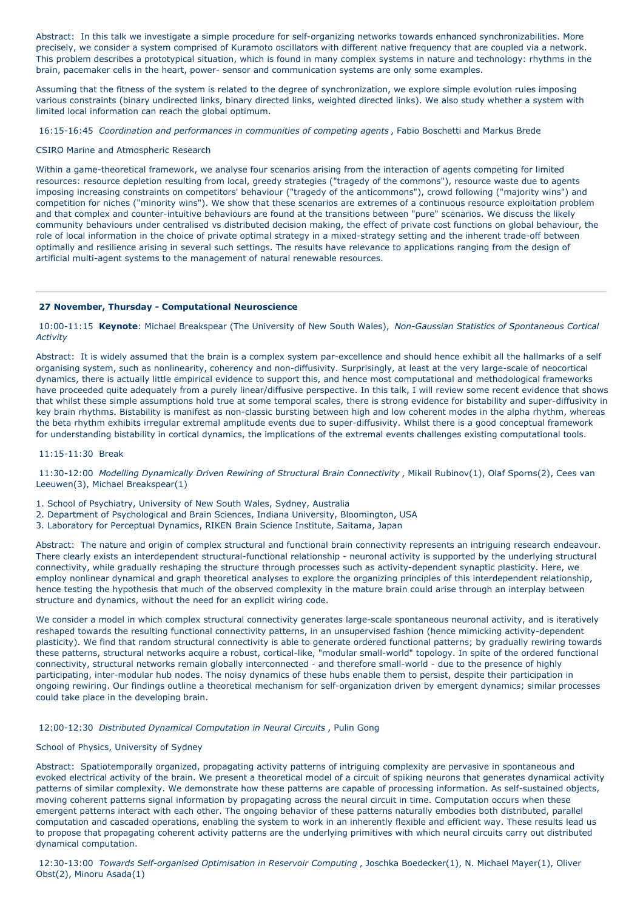Abstract: In this talk we investigate a simple procedure for self-organizing networks towards enhanced synchronizabilities. More precisely, we consider a system comprised of Kuramoto oscillators with different native frequency that are coupled via a network. This problem describes a prototypical situation, which is found in many complex systems in nature and technology: rhythms in the brain, pacemaker cells in the heart, power- sensor and communication systems are only some examples.

Assuming that the fitness of the system is related to the degree of synchronization, we explore simple evolution rules imposing various constraints (binary undirected links, binary directed links, weighted directed links). We also study whether a system with limited local information can reach the global optimum.

16:15-16:45 *Coordination and performances in communities of competing agents* , Fabio Boschetti and Markus Brede

CSIRO Marine and Atmospheric Research

Within a game-theoretical framework, we analyse four scenarios arising from the interaction of agents competing for limited resources: resource depletion resulting from local, greedy strategies ("tragedy of the commons"), resource waste due to agents imposing increasing constraints on competitors' behaviour ("tragedy of the anticommons"), crowd following ("majority wins") and competition for niches ("minority wins"). We show that these scenarios are extremes of a continuous resource exploitation problem and that complex and counter-intuitive behaviours are found at the transitions between "pure" scenarios. We discuss the likely community behaviours under centralised vs distributed decision making, the effect of private cost functions on global behaviour, the role of local information in the choice of private optimal strategy in a mixed-strategy setting and the inherent trade-off between optimally and resilience arising in several such settings. The results have relevance to applications ranging from the design of artificial multi-agent systems to the management of natural renewable resources.

# **27 November, Thursday - Computational Neuroscience**

10:00-11:15 **Keynote**: Michael Breakspear (The University of New South Wales), *Non-Gaussian Statistics of Spontaneous Cortical Activity*

Abstract: It is widely assumed that the brain is a complex system par-excellence and should hence exhibit all the hallmarks of a self organising system, such as nonlinearity, coherency and non-diffusivity. Surprisingly, at least at the very large-scale of neocortical dynamics, there is actually little empirical evidence to support this, and hence most computational and methodological frameworks have proceeded quite adequately from a purely linear/diffusive perspective. In this talk, I will review some recent evidence that shows that whilst these simple assumptions hold true at some temporal scales, there is strong evidence for bistability and super-diffusivity in key brain rhythms. Bistability is manifest as non-classic bursting between high and low coherent modes in the alpha rhythm, whereas the beta rhythm exhibits irregular extremal amplitude events due to super-diffusivity. Whilst there is a good conceptual framework for understanding bistability in cortical dynamics, the implications of the extremal events challenges existing computational tools.

## 11:15-11:30 Break

11:30-12:00 *Modelling Dynamically Driven Rewiring of Structural Brain Connectivity* , Mikail Rubinov(1), Olaf Sporns(2), Cees van Leeuwen(3), Michael Breakspear(1)

1. School of Psychiatry, University of New South Wales, Sydney, Australia

- 2. Department of Psychological and Brain Sciences, Indiana University, Bloomington, USA
- 3. Laboratory for Perceptual Dynamics, RIKEN Brain Science Institute, Saitama, Japan

Abstract: The nature and origin of complex structural and functional brain connectivity represents an intriguing research endeavour. There clearly exists an interdependent structural-functional relationship - neuronal activity is supported by the underlying structural connectivity, while gradually reshaping the structure through processes such as activity-dependent synaptic plasticity. Here, we employ nonlinear dynamical and graph theoretical analyses to explore the organizing principles of this interdependent relationship, hence testing the hypothesis that much of the observed complexity in the mature brain could arise through an interplay between structure and dynamics, without the need for an explicit wiring code.

We consider a model in which complex structural connectivity generates large-scale spontaneous neuronal activity, and is iteratively reshaped towards the resulting functional connectivity patterns, in an unsupervised fashion (hence mimicking activity-dependent plasticity). We find that random structural connectivity is able to generate ordered functional patterns; by gradually rewiring towards these patterns, structural networks acquire a robust, cortical-like, "modular small-world" topology. In spite of the ordered functional connectivity, structural networks remain globally interconnected - and therefore small-world - due to the presence of highly participating, inter-modular hub nodes. The noisy dynamics of these hubs enable them to persist, despite their participation in ongoing rewiring. Our findings outline a theoretical mechanism for self-organization driven by emergent dynamics; similar processes could take place in the developing brain.

## 12:00-12:30 *Distributed Dynamical Computation in Neural Circuits* , Pulin Gong

# School of Physics, University of Sydney

Abstract: Spatiotemporally organized, propagating activity patterns of intriguing complexity are pervasive in spontaneous and evoked electrical activity of the brain. We present a theoretical model of a circuit of spiking neurons that generates dynamical activity patterns of similar complexity. We demonstrate how these patterns are capable of processing information. As self-sustained objects, moving coherent patterns signal information by propagating across the neural circuit in time. Computation occurs when these emergent patterns interact with each other. The ongoing behavior of these patterns naturally embodies both distributed, parallel computation and cascaded operations, enabling the system to work in an inherently flexible and efficient way. These results lead us to propose that propagating coherent activity patterns are the underlying primitives with which neural circuits carry out distributed dynamical computation.

12:30-13:00 *Towards Self-organised Optimisation in Reservoir Computing* , Joschka Boedecker(1), N. Michael Mayer(1), Oliver Obst(2), Minoru Asada(1)